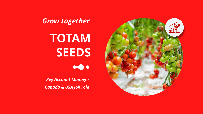# **TOTAM SEEDS**

## *Grow together*

*Key Account Manager Canada & USA job role*

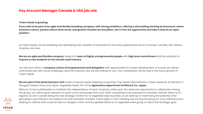### **Key Account Manager Canada & USA job role**

**Totam Seeds is growing!** 

#### **If you wish to be part of an agile and flexible breeding company, with strong ambitions, offering a stimulating working environment, where inclusive culture, passion about what we do, and growth mindset are the pillars, don't miss the opportunity and take a look at our open**

**position!**

At Totam Seeds, we are breeding and developing new varieties of tomatoes for the active greenhouse sector in Europe, Canada, USA, Mexico, Oceania, and Asia.

#### **We are an agile and flexible company** made of a **team of highly entrepreneurial people** with **high level commitment** and the ambition to **impress a new footprint on the tomato seed industry**.

You will work within a **company culture of empowerment and delegation** with opportunities for career development, of course you will be confronted also with some challenges, and this is exactly why we are looking for you: Your contribution will be vital to the future growth of Totam Seeds.

**We are part of the Seeds Business Unit** made of several seeds breeding companies (Top Seeds International IL, Totam Seeds NL, ISI Sementi IT, Xiangyan Seeds China, and Japan Vegetable Seeds JP) of the **Agriscience department at Mitsui & Co. Japan**. Mitsui & Co has a philosophy to maintain the independency of each company, while upon the need and opportunity to collaborate among the group, you will be given freedom to reach out to employees from your sister companies to be exposed to a broader network. Mitsui & Co regards US and Canada being the next strategic frontier for its vegetable seed business, as an attempt in maximizing the potential of its germplasm pool fitting to the needs of US and Canadian markets. Totam plays a vital / leading role among the group for such initiative and is seeking for talents that would be able to navigate Totam and the greater Mitsui & Co vegetable seed group to reach that strategic goal..



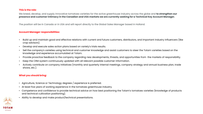#### **This is the role:**

We breed, develop, and supply innovative tomatoes varieties for the active greenhouse industry across the globe and **to strengthen our presence and customer intimacy in the Canadian and USA markets we are currently seeking for a Technical Key Account Manager.** 

The position will be in Canada or in USA and will report directly to the Global Sales Manager based in Holland.

#### **Account Manager responsibilities:**

• Build up and maintain good and effective relations with current and future customers, distributors, and important industry influencers (like

Sell the company's varieties using technical and customer knowledge and assist customers to steer the Totam varieties based on the

Provide proactive feedback to the company regarding new developments, threats, and opportunities from the markets of responsibility.

- crop advisors).
- Develop and execute sales action plans based on variety's trials results.
- knowledge and experience accumulated at Totam.
- 
- Keep the CRM system continuously updated with all relevant possible customer information.
- shows, etc.).

• Actively contribute on company initiatives (monthly and quarterly internal meetings, company strategy and annual business plan, trade

#### **What you should bring:**

- Agriculture, Science or Technology degrees / experience is preferred.
- At least five years of working experience in the tomatoes greenhouse industry.
- and technical cultivation positioning).
- Ability to develop and make product/technical presentations.



• Competence and confidence to provide technical advice on how best positioning the Totam's tomatoes varieties (knowledge of products